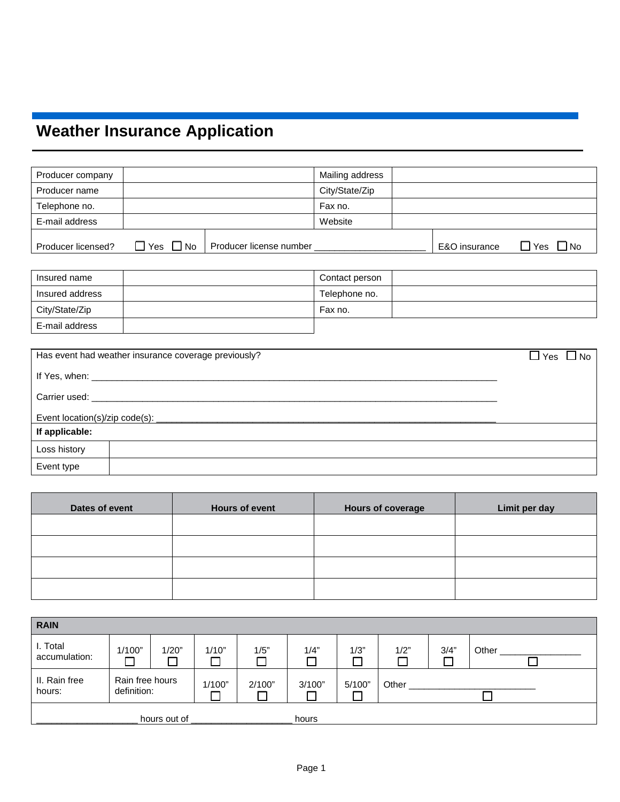## **Weather Insurance Application**

| Producer company   |                      |                         | Mailing address |               |                         |
|--------------------|----------------------|-------------------------|-----------------|---------------|-------------------------|
| Producer name      |                      |                         | City/State/Zip  |               |                         |
| Telephone no.      |                      |                         | Fax no.         |               |                         |
| E-mail address     |                      |                         | Website         |               |                         |
| Producer licensed? | $\Box$ Yes $\Box$ No | Producer license number |                 | E&O insurance | $\Box$ Yes<br>$\Box$ No |

| Insured name    | Contact person |  |
|-----------------|----------------|--|
| Insured address | Telephone no.  |  |
| City/State/Zip  | Fax no.        |  |
| E-mail address  |                |  |

| Has event had weather insurance coverage previously? | $\Box$ Yes $\Box$ No |  |
|------------------------------------------------------|----------------------|--|
|                                                      |                      |  |
|                                                      |                      |  |
| Event location(s)/zip code(s): ____________          |                      |  |
| If applicable:                                       |                      |  |
| Loss history                                         |                      |  |
| Event type                                           |                      |  |

| Dates of event | <b>Hours of event</b> | Hours of coverage | Limit per day |
|----------------|-----------------------|-------------------|---------------|
|                |                       |                   |               |
|                |                       |                   |               |
|                |                       |                   |               |
|                |                       |                   |               |

| <b>RAIN</b>               |                                |       |                  |           |        |        |       |      |       |
|---------------------------|--------------------------------|-------|------------------|-----------|--------|--------|-------|------|-------|
| I. Total<br>accumulation: | 1/100"                         | 1/20" | 1/10"<br>$\Box$  | 1/5"<br>匚 | 1/4"   | 1/3"   | 1/2"  | 3/4" | Other |
| II. Rain free<br>hours:   | Rain free hours<br>definition: |       | 1/100"<br>$\Box$ | 2/100"    | 3/100" | 5/100" | Other |      |       |
| hours out of<br>hours     |                                |       |                  |           |        |        |       |      |       |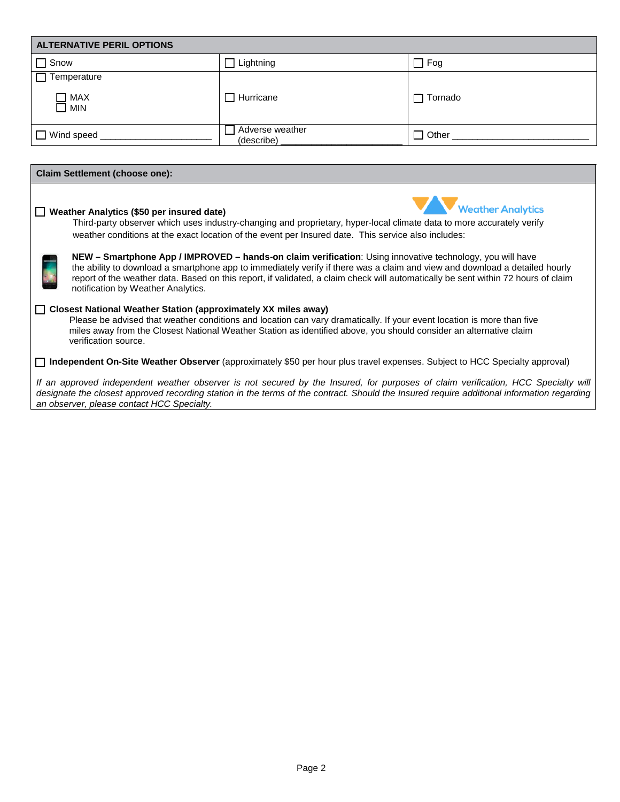| <b>ALTERNATIVE PERIL OPTIONS</b> |                               |                |  |  |  |
|----------------------------------|-------------------------------|----------------|--|--|--|
| $\Box$ Snow                      | Lightning<br>П                | $\Box$ Fog     |  |  |  |
| Temperature                      |                               |                |  |  |  |
| $\Box$ MAX<br>$\Box$ MIN         | $\Box$ Hurricane              | $\Box$ Tornado |  |  |  |
| $\Box$ Wind speed                | Adverse weather<br>(describe) | $\Box$ Other   |  |  |  |

## **Weather Analytics (\$50 per insured date)**

**Claim Settlement (choose one):** 



Third-party observer which uses industry-changing and proprietary, hyper-local climate data to more accurately verify weather conditions at the exact location of the event per Insured date. This service also includes:



 **NEW – Smartphone App / IMPROVED – hands-on claim verification**: Using innovative technology, you will have the ability to download a smartphone app to immediately verify if there was a claim and view and download a detailed hourly report of the weather data. Based on this report, if validated, a claim check will automatically be sent within 72 hours of claim notification by Weather Analytics.

## **Closest National Weather Station (approximately XX miles away)**

Please be advised that weather conditions and location can vary dramatically. If your event location is more than five miles away from the Closest National Weather Station as identified above, you should consider an alternative claim verification source.

**Independent On-Site Weather Observer** (approximately \$50 per hour plus travel expenses. Subject to HCC Specialty approval)

If an approved independent weather observer is not secured by the Insured, for purposes of claim verification, HCC Specialty will *designate the closest approved recording station in the terms of the contract. Should the Insured require additional information regarding an observer, please contact HCC Specialty.*